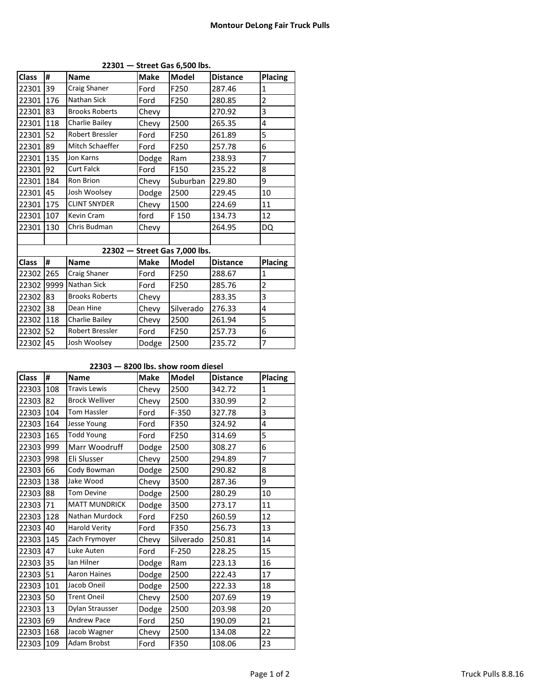| <b>Class</b>                  | #    | <b>Name</b>           | <b>Make</b> | <b>Model</b> | <b>Distance</b> | <b>Placing</b> |  |
|-------------------------------|------|-----------------------|-------------|--------------|-----------------|----------------|--|
| 22301                         | 39   | Craig Shaner          | Ford        | F250         | 287.46          | $\mathbf{1}$   |  |
| 22301                         | 176  | Nathan Sick           | Ford        | F250         | 280.85          | $\overline{2}$ |  |
| 22301                         | 83   | <b>Brooks Roberts</b> | Chevy       |              | 270.92          | 3              |  |
| 22301                         | 118  | Charlie Bailey        | Chevy       | 2500         | 265.35          | 4              |  |
| 22301                         | 52   | Robert Bressler       | Ford        | F250         | 261.89          | 5              |  |
| 22301                         | 89   | Mitch Schaeffer       | Ford        | F250         | 257.78          | 6              |  |
| 22301                         | 135  | Jon Karns             | Dodge       | Ram          | 238.93          | $\overline{7}$ |  |
| 22301                         | 92   | <b>Curt Falck</b>     | Ford        | F150         | 235.22          | 8              |  |
| 22301                         | 184  | Ron Brion             | Chevy       | Suburban     | 229.80          | 9              |  |
| 22301                         | 45   | Josh Woolsey          | Dodge       | 2500         | 229.45          | 10             |  |
| 22301                         | 175  | <b>CLINT SNYDER</b>   | Chevy       | 1500         | 224.69          | 11             |  |
| 22301                         | 107  | Kevin Cram            | ford        | F 150        | 134.73          | 12             |  |
| 22301                         | 130  | Chris Budman          | Chevy       |              | 264.95          | DQ             |  |
|                               |      |                       |             |              |                 |                |  |
| 22302 - Street Gas 7,000 lbs. |      |                       |             |              |                 |                |  |
| <b>Class</b>                  | #    | <b>Name</b>           | <b>Make</b> | <b>Model</b> | <b>Distance</b> | <b>Placing</b> |  |
| 22302                         | 265  | Craig Shaner          | Ford        | F250         | 288.67          | $\mathbf{1}$   |  |
| 22302                         | 9999 | Nathan Sick           | Ford        | F250         | 285.76          | $\overline{2}$ |  |
| 22302                         | 83   | <b>Brooks Roberts</b> | Chevy       |              | 283.35          | 3              |  |
| 22302                         | 38   | Dean Hine             | Chevy       | Silverado    | 276.33          | 4              |  |
| 22302                         | 118  | Charlie Bailey        | Chevy       | 2500         | 261.94          | 5              |  |
| 22302                         | 52   | Robert Bressler       | Ford        | F250         | 257.73          | 6              |  |
| 22302                         | 45   | Josh Woolsey          | Dodge       | 2500         | 235.72          | $\overline{7}$ |  |

**22301 — Street Gas 6,500 lbs.**

## **22303 — 8200 lbs. show room diesel**

| <b>Class</b> | #   | <b>Name</b>           | <b>Make</b> | <b>Model</b> | <b>Distance</b> | Placing        |
|--------------|-----|-----------------------|-------------|--------------|-----------------|----------------|
| 22303        | 108 | <b>Travis Lewis</b>   | Chevy       | 2500         | 342.72          | $\mathbf{1}$   |
| 22303        | 82  | <b>Brock Welliver</b> | Chevy       | 2500         | 330.99          | $\overline{2}$ |
| 22303        | 104 | <b>Tom Hassler</b>    | Ford        | $F-350$      | 327.78          | 3              |
| 22303        | 164 | Jesse Young           | Ford        | F350         | 324.92          | 4              |
| 22303        | 165 | <b>Todd Young</b>     | Ford        | F250         | 314.69          | 5              |
| 22303        | 999 | Marr Woodruff         | Dodge       | 2500         | 308.27          | 6              |
| 22303        | 998 | Eli Slusser           | Chevy       | 2500         | 294.89          | 7              |
| 22303        | 66  | Cody Bowman           | Dodge       | 2500         | 290.82          | 8              |
| 22303        | 138 | Jake Wood             | Chevy       | 3500         | 287.36          | 9              |
| 22303        | 88  | <b>Tom Devine</b>     | Dodge       | 2500         | 280.29          | 10             |
| 22303        | 71  | <b>MATT MUNDRICK</b>  | Dodge       | 3500         | 273.17          | $11\,$         |
| 22303        | 128 | Nathan Murdock        | Ford        | F250         | 260.59          | 12             |
| 22303        | 40  | <b>Harold Verity</b>  | Ford        | F350         | 256.73          | 13             |
| 22303        | 145 | Zach Frymoyer         | Chevy       | Silverado    | 250.81          | 14             |
| 22303        | 47  | Luke Auten            | Ford        | $F-250$      | 228.25          | 15             |
| 22303        | 35  | lan Hilner            | Dodge       | Ram          | 223.13          | 16             |
| 22303        | 51  | <b>Aaron Haines</b>   | Dodge       | 2500         | 222.43          | 17             |
| 22303        | 101 | Jacob Oneil           | Dodge       | 2500         | 222.33          | 18             |
| 22303        | 50  | <b>Trent Oneil</b>    | Chevy       | 2500         | 207.69          | 19             |
| 22303        | 13  | Dylan Strausser       | Dodge       | 2500         | 203.98          | 20             |
| 22303        | 69  | <b>Andrew Pace</b>    | Ford        | 250          | 190.09          | 21             |
| 22303        | 168 | Jacob Wagner          | Chevy       | 2500         | 134.08          | 22             |
| 22303        | 109 | Adam Brobst           | Ford        | F350         | 108.06          | 23             |